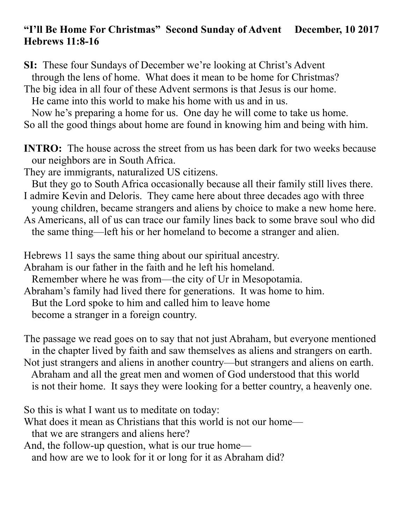#### **"I'll Be Home For Christmas" Second Sunday of Advent December, 10 2017 Hebrews 11:8-16**

**SI:** These four Sundays of December we're looking at Christ's Advent through the lens of home. What does it mean to be home for Christmas?

The big idea in all four of these Advent sermons is that Jesus is our home.

He came into this world to make his home with us and in us.

 Now he's preparing a home for us. One day he will come to take us home. So all the good things about home are found in knowing him and being with him.

**INTRO:** The house across the street from us has been dark for two weeks because our neighbors are in South Africa.

They are immigrants, naturalized US citizens.

But they go to South Africa occasionally because all their family still lives there.

I admire Kevin and Deloris. They came here about three decades ago with three young children, became strangers and aliens by choice to make a new home here.

As Americans, all of us can trace our family lines back to some brave soul who did the same thing—left his or her homeland to become a stranger and alien.

Hebrews 11 says the same thing about our spiritual ancestry.

Abraham is our father in the faith and he left his homeland.

Remember where he was from—the city of Ur in Mesopotamia.

Abraham's family had lived there for generations. It was home to him.

But the Lord spoke to him and called him to leave home

become a stranger in a foreign country.

The passage we read goes on to say that not just Abraham, but everyone mentioned in the chapter lived by faith and saw themselves as aliens and strangers on earth. Not just strangers and aliens in another country—but strangers and aliens on earth. Abraham and all the great men and women of God understood that this world is not their home. It says they were looking for a better country, a heavenly one.

So this is what I want us to meditate on today:

What does it mean as Christians that this world is not our home—

that we are strangers and aliens here?

And, the follow-up question, what is our true home—

and how are we to look for it or long for it as Abraham did?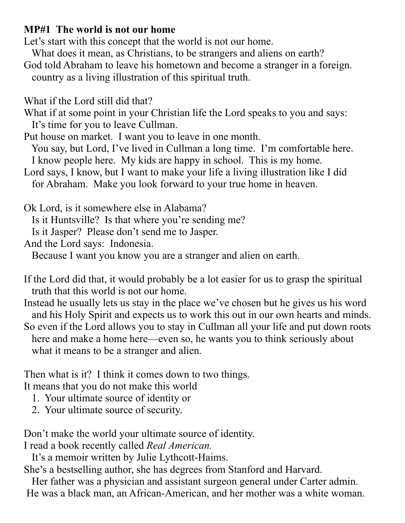### **MP#1 The world is not our home**

Let's start with this concept that the world is not our home.

What does it mean, as Christians, to be strangers and aliens on earth?

God told Abraham to leave his hometown and become a stranger in a foreign. country as a living illustration of this spiritual truth.

What if the Lord still did that?

What if at some point in your Christian life the Lord speaks to you and says: It's time for you to leave Cullman.

Put house on market. I want you to leave in one month.

 You say, but Lord, I've lived in Cullman a long time. I'm comfortable here. I know people here. My kids are happy in school. This is my home.

Lord says, I know, but I want to make your life a living illustration like I did for Abraham. Make you look forward to your true home in heaven.

Ok Lord, is it somewhere else in Alabama?

Is it Huntsville? Is that where you're sending me?

Is it Jasper? Please don't send me to Jasper.

And the Lord says: Indonesia.

Because I want you know you are a stranger and alien on earth.

If the Lord did that, it would probably be a lot easier for us to grasp the spiritual truth that this world is not our home.

Instead he usually lets us stay in the place we've chosen but he gives us his word and his Holy Spirit and expects us to work this out in our own hearts and minds. So even if the Lord allows you to stay in Cullman all your life and put down roots here and make a home here—even so, he wants you to think seriously about what it means to be a stranger and alien.

Then what is it? I think it comes down to two things.

It means that you do not make this world

- 1. Your ultimate source of identity or
- 2. Your ultimate source of security.

Don't make the world your ultimate source of identity.

I read a book recently called *Real American.* 

It's a memoir written by Julie Lythcott-Haims.

She's a bestselling author, she has degrees from Stanford and Harvard.

 Her father was a physician and assistant surgeon general under Carter admin. He was a black man, an African-American, and her mother was a white woman.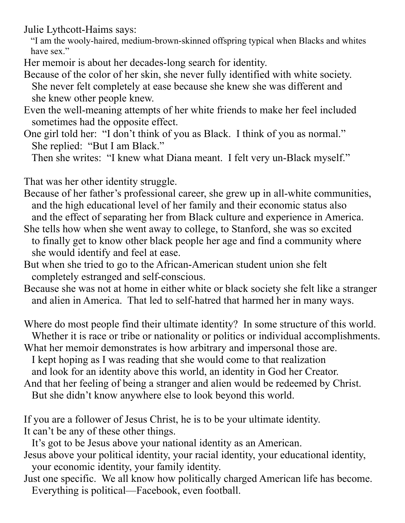Julie Lythcott-Haims says:

 "I am the wooly-haired, medium-brown-skinned offspring typical when Blacks and whites have sex."

Her memoir is about her decades-long search for identity.

Because of the color of her skin, she never fully identified with white society. She never felt completely at ease because she knew she was different and she knew other people knew.

- Even the well-meaning attempts of her white friends to make her feel included sometimes had the opposite effect.
- One girl told her: "I don't think of you as Black. I think of you as normal." She replied: "But I am Black."

Then she writes: "I knew what Diana meant. I felt very un-Black myself."

That was her other identity struggle.

Because of her father's professional career, she grew up in all-white communities, and the high educational level of her family and their economic status also and the effect of separating her from Black culture and experience in America.

- She tells how when she went away to college, to Stanford, she was so excited to finally get to know other black people her age and find a community where she would identify and feel at ease.
- But when she tried to go to the African-American student union she felt completely estranged and self-conscious.
- Because she was not at home in either white or black society she felt like a stranger and alien in America. That led to self-hatred that harmed her in many ways.

Where do most people find their ultimate identity? In some structure of this world. Whether it is race or tribe or nationality or politics or individual accomplishments.

What her memoir demonstrates is how arbitrary and impersonal those are. I kept hoping as I was reading that she would come to that realization

and look for an identity above this world, an identity in God her Creator.

And that her feeling of being a stranger and alien would be redeemed by Christ.

But she didn't know anywhere else to look beyond this world.

If you are a follower of Jesus Christ, he is to be your ultimate identity. It can't be any of these other things.

It's got to be Jesus above your national identity as an American.

Jesus above your political identity, your racial identity, your educational identity, your economic identity, your family identity.

Just one specific. We all know how politically charged American life has become. Everything is political—Facebook, even football.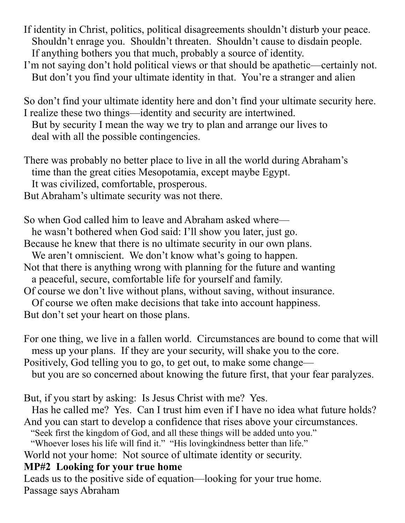If identity in Christ, politics, political disagreements shouldn't disturb your peace. Shouldn't enrage you. Shouldn't threaten. Shouldn't cause to disdain people. If anything bothers you that much, probably a source of identity.

I'm not saying don't hold political views or that should be apathetic—certainly not. But don't you find your ultimate identity in that. You're a stranger and alien

So don't find your ultimate identity here and don't find your ultimate security here. I realize these two things—identity and security are intertwined. But by security I mean the way we try to plan and arrange our lives to

deal with all the possible contingencies.

There was probably no better place to live in all the world during Abraham's time than the great cities Mesopotamia, except maybe Egypt. It was civilized, comfortable, prosperous.

But Abraham's ultimate security was not there.

So when God called him to leave and Abraham asked where he wasn't bothered when God said: I'll show you later, just go.

Because he knew that there is no ultimate security in our own plans.

We aren't omniscient. We don't know what's going to happen.

Not that there is anything wrong with planning for the future and wanting

a peaceful, secure, comfortable life for yourself and family.

Of course we don't live without plans, without saving, without insurance.

Of course we often make decisions that take into account happiness.

But don't set your heart on those plans.

For one thing, we live in a fallen world. Circumstances are bound to come that will mess up your plans. If they are your security, will shake you to the core.

Positively, God telling you to go, to get out, to make some change—

but you are so concerned about knowing the future first, that your fear paralyzes.

But, if you start by asking: Is Jesus Christ with me? Yes.

 Has he called me? Yes. Can I trust him even if I have no idea what future holds? And you can start to develop a confidence that rises above your circumstances.

"Seek first the kingdom of God, and all these things will be added unto you."

"Whoever loses his life will find it." "His lovingkindness better than life."

World not your home: Not source of ultimate identity or security.

# **MP#2 Looking for your true home**

Leads us to the positive side of equation—looking for your true home. Passage says Abraham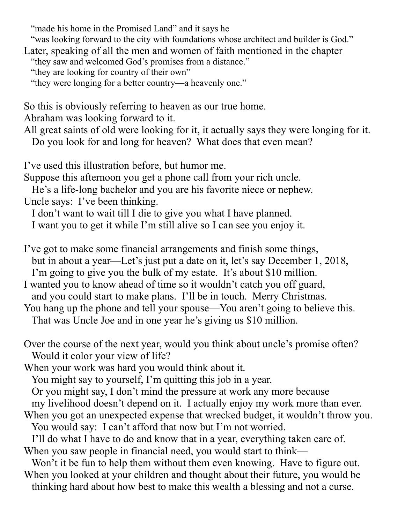"made his home in the Promised Land" and it says he

 "was looking forward to the city with foundations whose architect and builder is God." Later, speaking of all the men and women of faith mentioned in the chapter "they saw and welcomed God's promises from a distance." "they are looking for country of their own"

"they were longing for a better country—a heavenly one."

So this is obviously referring to heaven as our true home.

Abraham was looking forward to it.

All great saints of old were looking for it, it actually says they were longing for it. Do you look for and long for heaven? What does that even mean?

I've used this illustration before, but humor me.

Suppose this afternoon you get a phone call from your rich uncle.

 He's a life-long bachelor and you are his favorite niece or nephew. Uncle says: I've been thinking.

I don't want to wait till I die to give you what I have planned.

I want you to get it while I'm still alive so I can see you enjoy it.

I've got to make some financial arrangements and finish some things, but in about a year—Let's just put a date on it, let's say December 1, 2018, I'm going to give you the bulk of my estate. It's about \$10 million.

I wanted you to know ahead of time so it wouldn't catch you off guard, and you could start to make plans. I'll be in touch. Merry Christmas.

You hang up the phone and tell your spouse—You aren't going to believe this.

That was Uncle Joe and in one year he's giving us \$10 million.

Over the course of the next year, would you think about uncle's promise often? Would it color your view of life?

When your work was hard you would think about it.

You might say to yourself, I'm quitting this job in a year.

Or you might say, I don't mind the pressure at work any more because

my livelihood doesn't depend on it. I actually enjoy my work more than ever.

When you got an unexpected expense that wrecked budget, it wouldn't throw you. You would say: I can't afford that now but I'm not worried.

 I'll do what I have to do and know that in a year, everything taken care of. When you saw people in financial need, you would start to think—

 Won't it be fun to help them without them even knowing. Have to figure out. When you looked at your children and thought about their future, you would be thinking hard about how best to make this wealth a blessing and not a curse.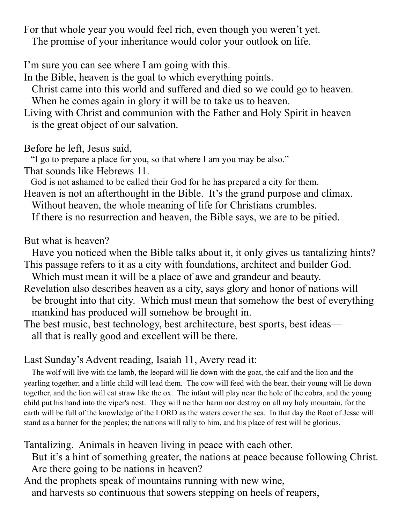For that whole year you would feel rich, even though you weren't yet. The promise of your inheritance would color your outlook on life.

I'm sure you can see where I am going with this.

In the Bible, heaven is the goal to which everything points.

 Christ came into this world and suffered and died so we could go to heaven. When he comes again in glory it will be to take us to heaven.

Living with Christ and communion with the Father and Holy Spirit in heaven is the great object of our salvation.

Before he left, Jesus said,

"I go to prepare a place for you, so that where I am you may be also."

That sounds like Hebrews 11.

God is not ashamed to be called their God for he has prepared a city for them.

Heaven is not an afterthought in the Bible. It's the grand purpose and climax.

Without heaven, the whole meaning of life for Christians crumbles.

If there is no resurrection and heaven, the Bible says, we are to be pitied.

But what is heaven?

 Have you noticed when the Bible talks about it, it only gives us tantalizing hints? This passage refers to it as a city with foundations, architect and builder God.

Which must mean it will be a place of awe and grandeur and beauty.

- Revelation also describes heaven as a city, says glory and honor of nations will be brought into that city. Which must mean that somehow the best of everything mankind has produced will somehow be brought in.
- The best music, best technology, best architecture, best sports, best ideas all that is really good and excellent will be there.

# Last Sunday's Advent reading, Isaiah 11, Avery read it:

 The wolf will live with the lamb, the leopard will lie down with the goat, the calf and the lion and the yearling together; and a little child will lead them. The cow will feed with the bear, their young will lie down together, and the lion will eat straw like the ox. The infant will play near the hole of the cobra, and the young child put his hand into the viper's nest. They will neither harm nor destroy on all my holy mountain, for the earth will be full of the knowledge of the LORD as the waters cover the sea. In that day the Root of Jesse will stand as a banner for the peoples; the nations will rally to him, and his place of rest will be glorious.

Tantalizing. Animals in heaven living in peace with each other.

 But it's a hint of something greater, the nations at peace because following Christ. Are there going to be nations in heaven?

And the prophets speak of mountains running with new wine, and harvests so continuous that sowers stepping on heels of reapers,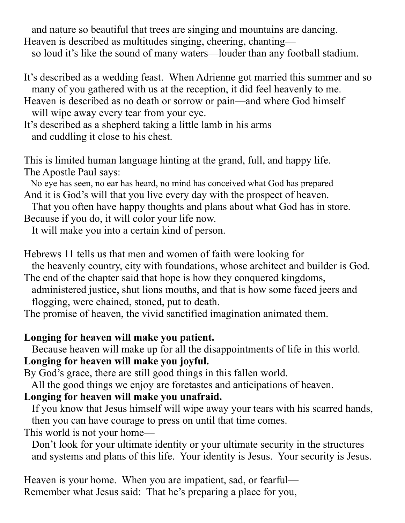and nature so beautiful that trees are singing and mountains are dancing. Heaven is described as multitudes singing, cheering, chanting—

so loud it's like the sound of many waters—louder than any football stadium.

- It's described as a wedding feast. When Adrienne got married this summer and so many of you gathered with us at the reception, it did feel heavenly to me.
- Heaven is described as no death or sorrow or pain—and where God himself will wipe away every tear from your eye.
- It's described as a shepherd taking a little lamb in his arms and cuddling it close to his chest.

This is limited human language hinting at the grand, full, and happy life. The Apostle Paul says:

 No eye has seen, no ear has heard, no mind has conceived what God has prepared And it is God's will that you live every day with the prospect of heaven.

 That you often have happy thoughts and plans about what God has in store. Because if you do, it will color your life now.

It will make you into a certain kind of person.

Hebrews 11 tells us that men and women of faith were looking for

the heavenly country, city with foundations, whose architect and builder is God.

The end of the chapter said that hope is how they conquered kingdoms, administered justice, shut lions mouths, and that is how some faced jeers and flogging, were chained, stoned, put to death.

The promise of heaven, the vivid sanctified imagination animated them.

## **Longing for heaven will make you patient.**

 Because heaven will make up for all the disappointments of life in this world. **Longing for heaven will make you joyful.** 

By God's grace, there are still good things in this fallen world.

All the good things we enjoy are foretastes and anticipations of heaven.

## **Longing for heaven will make you unafraid.**

 If you know that Jesus himself will wipe away your tears with his scarred hands, then you can have courage to press on until that time comes.

This world is not your home—

 Don't look for your ultimate identity or your ultimate security in the structures and systems and plans of this life. Your identity is Jesus. Your security is Jesus.

Heaven is your home. When you are impatient, sad, or fearful— Remember what Jesus said: That he's preparing a place for you,